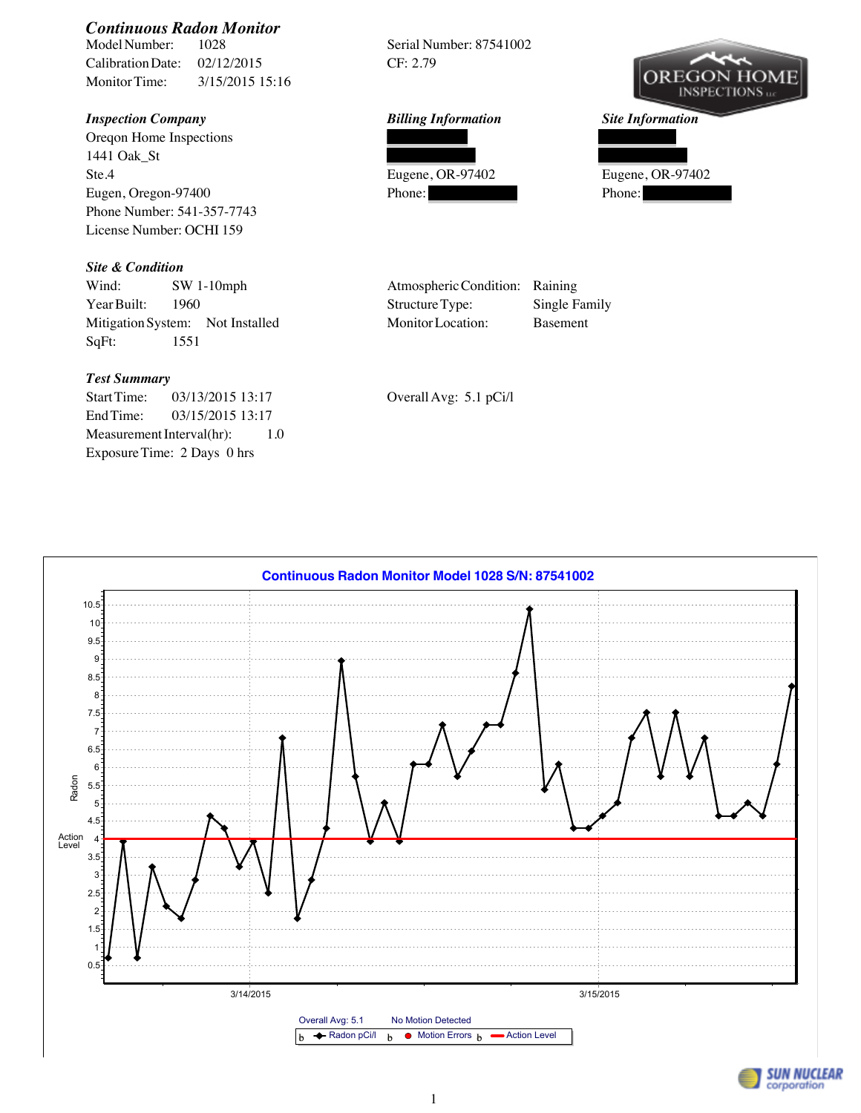

## *Test Summary*

Start Time: 03/13/2015 13:17 Overall Avg: 5.1 pCi/l End Time: 03/15/2015 13:17 Measurement Interval(hr): 1.0 Exposure Time: 2 Days 0 hrs



**SUN NUCLEAR** corporation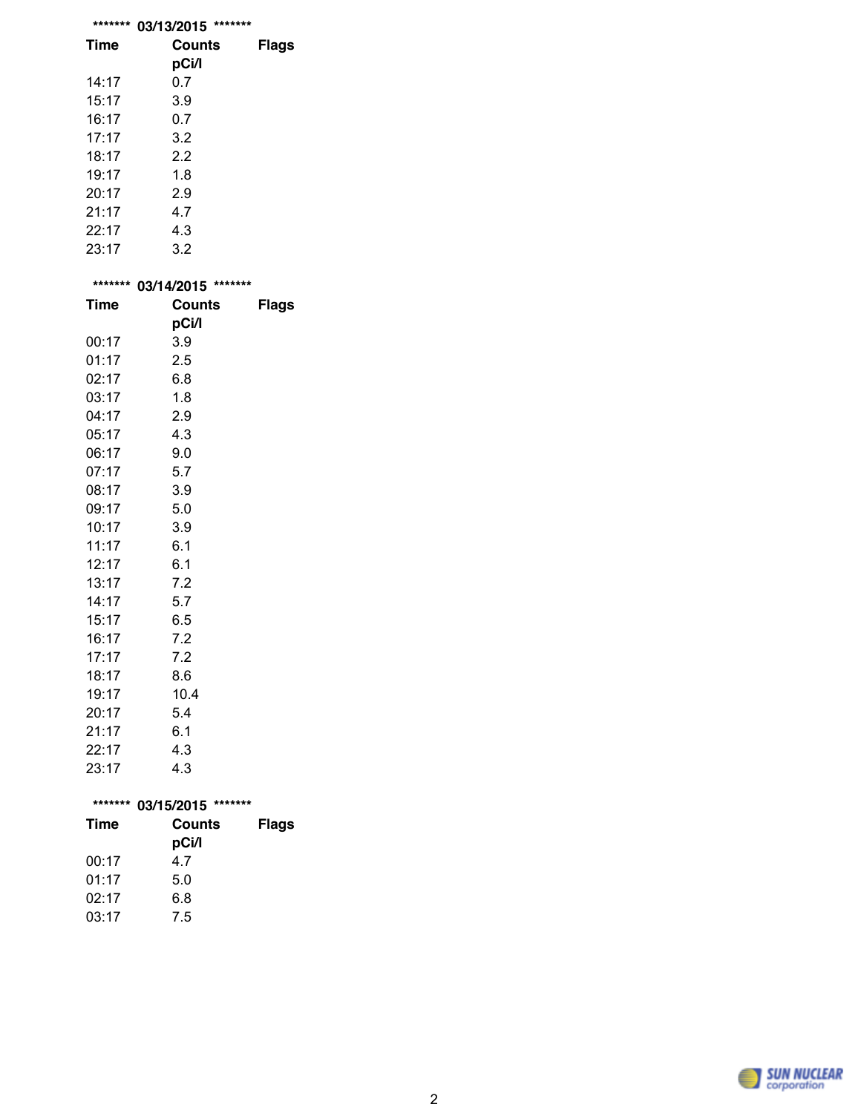|      | ******* 03/13/2015 ******* |              |
|------|----------------------------|--------------|
| Time | Counts                     | <b>Flags</b> |

| Time  | Counts |  |  |  |
|-------|--------|--|--|--|
|       | pCi/l  |  |  |  |
| 14:17 | 0.7    |  |  |  |
| 15:17 | 3.9    |  |  |  |
| 16:17 | 0.7    |  |  |  |
| 17:17 | 3.2    |  |  |  |
| 18:17 | 2.2    |  |  |  |
| 19:17 | 1.8    |  |  |  |
| 20:17 | 2.9    |  |  |  |
| 21:17 | 4.7    |  |  |  |
| 22:17 | 4.3    |  |  |  |
| 23:17 | 3.2    |  |  |  |
|       |        |  |  |  |

| *******     | 03/14/2015 ******* |              |
|-------------|--------------------|--------------|
| <b>Time</b> | Counts             | <b>Flags</b> |
|             | pCi/l              |              |
| 00:17       | 3.9                |              |
| 01:17       | 2.5                |              |
| 02:17       | 6.8                |              |
| 03:17       | 1.8                |              |
| 04:17       | 2.9                |              |
| 05:17       | 4.3                |              |
| 06:17       | 9.0                |              |
| 07:17       | 5.7                |              |
| 08:17       | 3.9                |              |
| 09:17       | 5.0                |              |
| 10:17       | 3.9                |              |
| 11:17       | 6.1                |              |
| 12:17       | 6.1                |              |
| 13:17       | 7.2                |              |
| 14:17       | 5.7                |              |
| 15:17       | 6.5                |              |
| 16:17       | 7.2                |              |
| 17:17       | 7.2                |              |
| 18:17       | 8.6                |              |
| 19:17       | 10.4               |              |
| 20:17       | 5.4                |              |
| 21:17       | 6.1                |              |
| 22:17       | 4.3                |              |
| つつ・1フ       | ィっ                 |              |

| 23:17       | 4.3                   |       |
|-------------|-----------------------|-------|
| *******     | 03/15/2015<br>******* |       |
| <b>Time</b> | Counts                | Flags |
|             | pCi/l                 |       |
| 00:17       | 47                    |       |
| 01:17       | 5.0                   |       |
| 02:17       | 6.8                   |       |

03:17 7.5

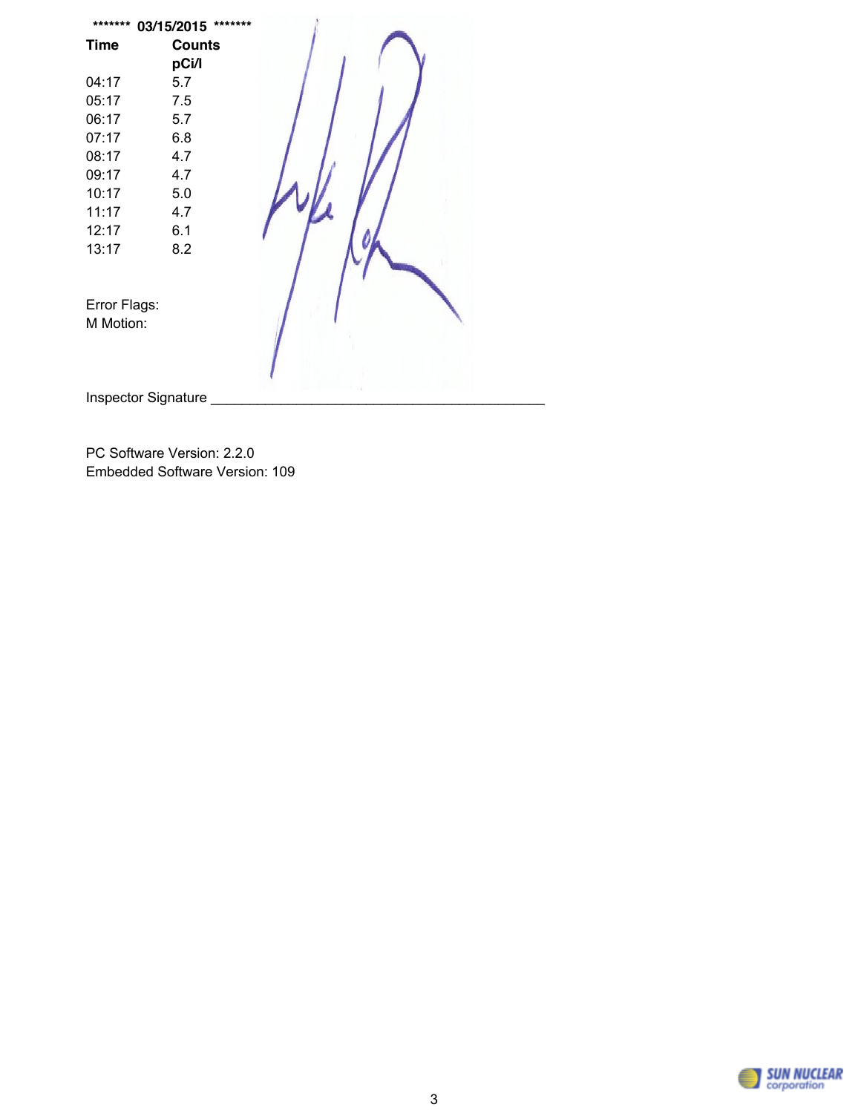| <b>Counts</b><br><b>Time</b><br>pCi/l<br>04:17<br>5.7<br>7.5<br>05:17 |  |
|-----------------------------------------------------------------------|--|
|                                                                       |  |
|                                                                       |  |
|                                                                       |  |
|                                                                       |  |
| 5.7<br>06:17                                                          |  |
| 07:17<br>6.8                                                          |  |
| 08:17<br>4.7                                                          |  |
| 4.7<br>09:17                                                          |  |
| 10:17<br>5.0                                                          |  |
| 11:17<br>4.7                                                          |  |
| 12:17<br>6.1                                                          |  |
| 8.2<br>13:17                                                          |  |
|                                                                       |  |
|                                                                       |  |
| Error Flags:                                                          |  |
| M Motion:                                                             |  |
|                                                                       |  |
|                                                                       |  |
| Inspector Signature                                                   |  |

PC Software Version: 2.2.0 Embedded Software Version: 109